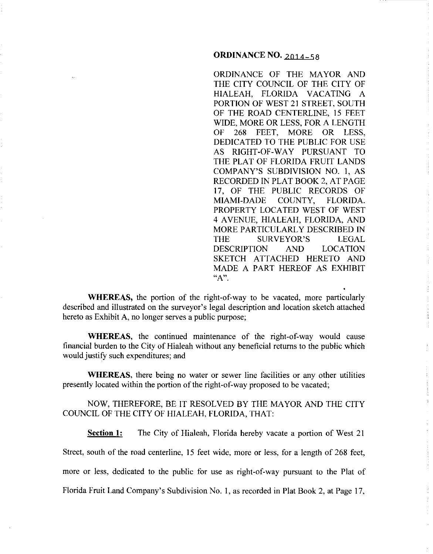## **ORDINANCE NO. 2014-58**

ORDINANCE OF THE MAYOR AND THE CITY COUNCIL OF THE CITY OF HIALEAH, FLORIDA VACATING A PORTION OF WEST 21 STREET, SOUTH OF THE ROAD CENTERLINE, 15 FEET WIDE, MORE OR LESS, FOR A LENGTH OF 268 FEET, MORE OR LESS, DEDICATED TO THE PUBLIC FOR USE AS RIGHT-OF-WAY PURSUANT TO THE PLAT OF FLORIDA FRUIT LANDS COMPANY'S SUBDIVISION NO. I, AS RECORDED IN PLAT BOOK 2, AT PAGE 17, OF THE PUBLIC RECORDS OF MIAMI-DADE COUNTY, FLORIDA. PROPERTY LOCATED WEST OF WEST 4 A VENUE, HIALEAH, FLORIDA, AND MORE PARTICULARLY DESCRIBED IN THE SURVEYOR'S LEGAL DESCRIPTION AND LOCATION SKETCH ATTACHED HERETO AND MADE A PART HEREOF AS EXHIBIT **"A".** 

**WHEREAS,** the portion of the right-of-way to be vacated, more particularly described and illustrated on the surveyor's legal description and location sketch attached hereto as Exhibit A, no longer serves a public purpose;

**WHEREAS,** the continued maintenance of the right-of-way would cause financial burden to the City of Hialeah without any beneficial returns to the public which would justify such expenditures; and

**WHEREAS,** there being no water or sewer line facilities or any other utilities presently located within the portion of the right-of-way proposed to be vacated;

NOW, THEREFORE, BE IT RESOLVED BY THE MAYOR AND THE CITY COUNCIL OF THE CITY OF HIALEAH, FLORIDA, THAT:

**Section 1:** The City of Hialeah, Florida hereby vacate a portion of West 21

Street, south of the road centerline, 15 feet wide, more or less, for a length of 268 feet,

more or less, dedicated to the public for use as right-of-way pursuant to the Plat of

Florida Fruit Land Company's Subdivision No. I, as recorded in Plat Book 2, at Page 17,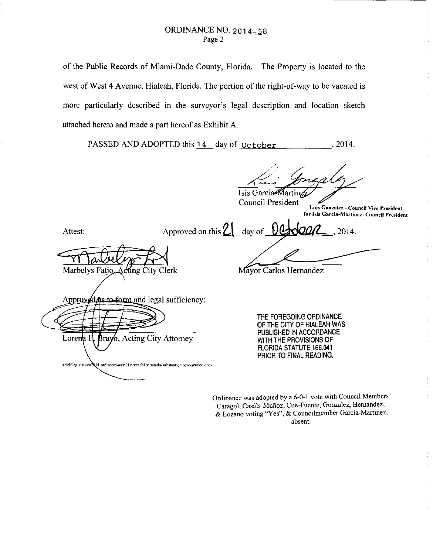of the Public Records of Miami-Dade County, Florida. The Property is located to the west of West 4 Avenue, Hialeah, Florida. The portion of the right-of-way to be vacated is more particularly described in the surveyor's legal description and location sketch attached hereto and made a part hereof as Exhibit A.

PASSED AND ADOPTED this 14 day of  $october$  ..., 2014.

Isis Garcia Marting

**Council President** 

**Luis Gon7.alez- Council Vice President for Isis Garcia-Martinez- Council President** 

2014.

Attest:

Lorena E

Approved on this  $2 \frac{1}{2}$  day of  $0$ 

Marbelys Fatio Acting City Clerk

Approved as to form and legal sufficiency:

**Brayo, Acting City Attorney** 

s:\leb\legislation\2014-ordiances\west21street-fpl-seminola-substantion.rowvacation.docx

Mayor Carlos Hernandez

THE FOREGOING ORDINANCE OF THE CITY OF HIALEAH WAS PUBLISHED IN ACCORDANCE WITH THE PROVISIONS OF FLORIDA STATUTE 166.041 PRIOR TO FINAL READING.

Ordinance was adopted by a 6-0-1 vote with Council Members **Caragol, Casiils-Muiioz, Cue-Fuente, Gonzalez, Hernandez,**  & **Lozano voting "Yes", & Councilmember Garcia-Martinez,**  absent.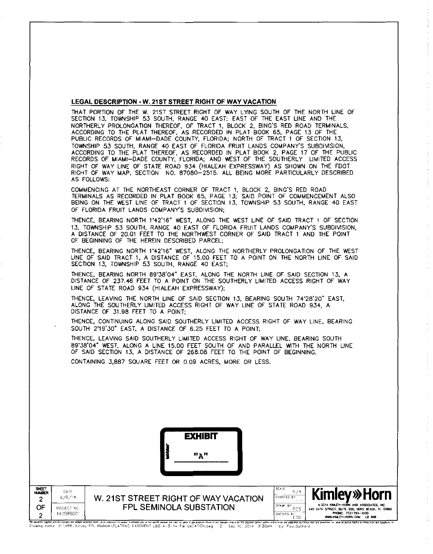## LEGAL DESCRIPTION • W. 21ST STREET RIGHT OF WAY VACATION

THAT PORTION OF THE W. 21ST STREET RIGHT OF WAY LYING SOUTH OF THE NORTH LINE OF SECTION 13, TOWNSHIP 53 SOUTH, RANGE 40 EAST; EAST OF THE EAST LINE AND THE NORTHERLY PROLONGATION THEREOF, OF TRACT 1, BLOCK 2, BING'S RED ROAD TERMINALS, ACCORDING TO THE PLAT THEREOF, AS RECORDED IN PLAT BOOK 65, PAGE 13 OF THE PUBLIC RECORDS OF MIAMI-DADE COUNTY, FLORIDA; NORTH OF TRACT 1 OF SECTION 13, TOWNSHIP 53 SOUTH, RANGE 40 EAST OF FLORIDA FRUIT LANDS COMPANY'S SUBDIVISION, ACCORDING TO THE PLAT THEREOF, AS RECORDED IN PLAT BOOK 2, PAGE 17 OF THE PUBLIC RECORDS OF MIAMI-DADE COUNTY, FLORIDA; AND WEST OF THE SOUTHERLY LIMITED ACCESS RIGHT OF WAY LINE OF STATE ROAD 934 (HIALEAH EXPRESSWAY) AS SHOWN ON THE FDOT RIGHT OF WAY MAP, SECTION NO. 87080-2515. ALL BEING MORE PARTICULARLY DESCRIBED AS FOLLOWS:

COMMENCING AT THE NORTHEAST CORNER OF TRACT 1, BLOCK 2, BING'S RED ROAD TERMINALS AS RECORDED IN PLAT BOOK 65, PAGE 13; SAID POINT OF COMMENCEMENT ALSO BEING ON THE WEST LINE OF TRACT 1 OF SECTION 13, TOWNSHIP 53 SOUTH, RANGE 40 EAST OF FLORIDA FRUIT LANDS COMPANYS SUBDIVISION;

THENCE, BEARING NORTH 1'42'16" WEST, ALONG THE WEST LINE OF SAID TRACT 1 OF SECTION 13. TOWNSHIP 53 SOUTH. RANGE 40 EAST OF FLORIDA FRUIT LANDS COMPANY'S SUBDIVISION, A DISTANCE OF 20.01 FEET TO THE NORTHWEST CORNER OF SAID TRACT 1 AND THE POINT OF BEGINNING OF THE HEREIN DESCRIBED PARCEL;

THENCE, BEARING NORTH 1'42'16" WEST, ALONG THE NORTHERLY PROLONGATION OF THE WEST LINE OF SAID TRACT 1, A DISTANCE OF 15.00 FEET TO A POINT ON THE NORTH LINE OF SAID SECTION 13, TOWNSHIP 53 SOUTH, RANGE 40 EAST;

THENCE, BEARING NORTH 89'38'04" EAST, ALONG THE NORTH LINE OF SAID SECTION 13, A DISTANCE OF 237.46 FEET TO A POINT ON THE SOUTHERLY LIMITED ACCESS RIGHT OF WAY LINE OF STATE ROAD 934 (HIALEAH EXPRESSWAY);

THENCE, LEAVING THE NORTH LINE OF SAID SECTION 13, BEARING SOUTH 74'28'20" EAST, ALONG THE SOUTHERLY LIMITED ACCESS RIGHT OF WAY LINE OF STATE ROAD 934, A DISTANCE OF 31.98 FEET TO A POINT;

THENCE, CONTINUING ALONG SAID SOUTHERLY LIMITED ACCESS RIGHT OF WAY LINE, BEARING SOUTH 2'19'30" EAST, A DISTANCE OF 6.25 FEET TO A POINT;

THENCE, LEAVING SAID SOUTHERLY LIMITED ACCESS RIGHT OF WAY LINE, BEARING SOUTH 89'38'04" WEST, ALONG A LINE 15.00 FEET SOUTH OF AND PARALLEL WITH THE NORTH LINE OF SAID SECTION 13, A DISTANCE OF 268.08 FEET TO THE POINT OF BEGINNING.

CONTAINING 3,887 SQUARE FEET OR 0.09 ACRES, MORE OR LESS.

|                                        |                                            | <b>EXHIBIT</b><br>"A"                                                                                                                                                                          |                                                                                                 |                                                                                                                                                                            |
|----------------------------------------|--------------------------------------------|------------------------------------------------------------------------------------------------------------------------------------------------------------------------------------------------|-------------------------------------------------------------------------------------------------|----------------------------------------------------------------------------------------------------------------------------------------------------------------------------|
| SHEET<br><b>NUMBER</b><br>2<br>OF<br>າ | DATE<br>9/9/14<br>PROJECT NO.<br>147088001 | W. 21ST STREET RIGHT OF WAY VACATION<br><b>FPL SEMINOLA SUBSTATION</b><br>. A series are a collected and all concerns and control of the collection of the collection of the collection of the | SCALE<br>N/A<br>DESIGNED BY<br><b>Contract Contract</b><br>DPAW. BY<br>PCS<br>CHECKED BY<br>ECD | <b>Kimley» Horn</b><br>© 2014 KIMLEY-HORN AND ASSOCIATES, INC.<br>445 24TH STREET, SUITE 200, VERO BEACH, FL 32960<br>PHONE: 772-794-4100<br>WWW.KIMLEY-HORN.COM<br>LB 690 |

Miseom<sup>i</sup>nd layhterylt Microsoft meled<del>ay</del>s presente heak, who have all and only who seed the public was allowed and the above reacces the bound and secure and secure who who are allowed the property and the property and